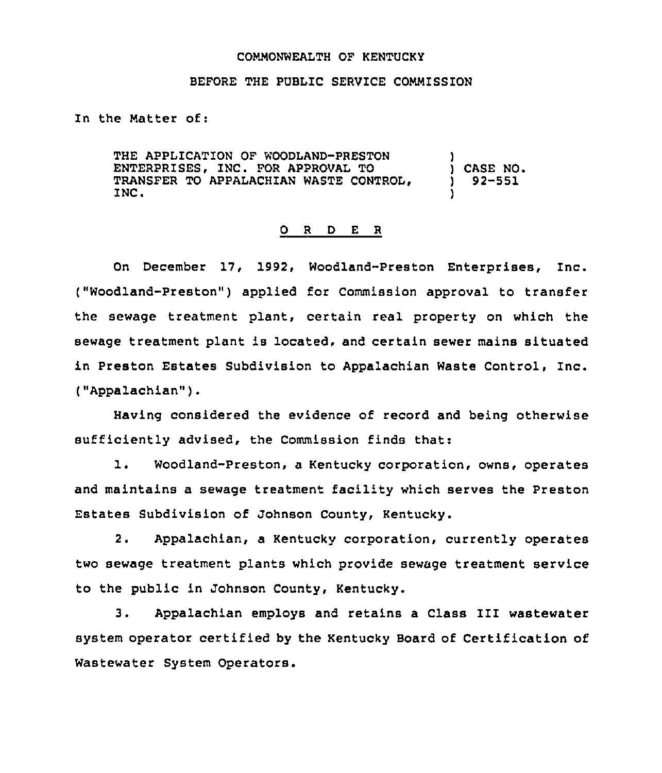## COMMONWEALTH QF KENTUCKI

## BEFORE THE PUBLIC SERVICE COMMISSION

In the Natter of:

THE APPLICATION OF WOODLAND-PRESTON ENTERPRISES, INC. FOR APPROVAL TO TRANSFER TO APPALACHIAN WASTE CONTROL, INC. ) ) CASE NO. ) 92-551 )

## O R D E R

On December 17, 1992, Woodland-Preston Enterprises, Inc. ("Woodland-Preston" ) applied for Commission approval to transfer the sewage treatment plant, certain real property on which the sewage treatment plant is located, and certain sewer mains situated in Preston Estates Subdivision to Appalachian Waste Control, Inc. ("Appalachian" ).

Having considered the evidence of record and being otherwise sufficiently advised, the Commission finds that:

1. Woodland-Preston, <sup>a</sup> Kentucky corporation, owns, operates and maintains a sewage treatment facility which serves the Preston Estates Subdivision of Johnson County, Kentucky.

2. Appalachian, a Kentucky corporation, currently operates two sewage treatment plants which provide sewage treatment service to the public in Johnson County, Kentucky.

3. Appalachian employs and retains <sup>a</sup> Class III wastewater system operator certified by the Kentucky Board of Certification of Wastewater System Operators.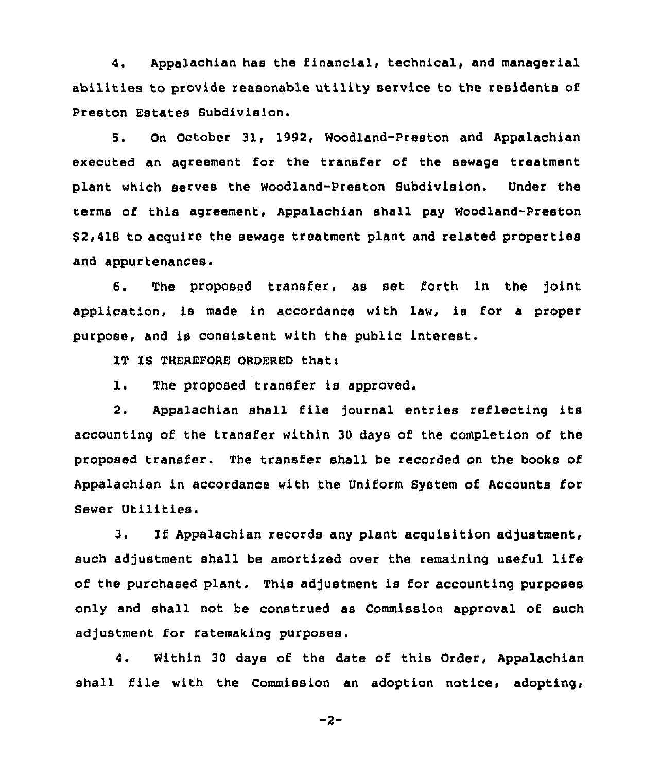4. Appalachian has the financial, technical, and managerial abilities to provide reasonable utility service to the residents of Preston Estates Subdivision.

5. On October 31, 1992, Woodland-Preston and Appalachian executed an agreement for the transfer of the sewage treatment plant which serves the Woodland-Preston Subdivision. Under the terms of this agreement, Appalachian shall pay Woodland-Preston \$ 2,418 to acquire the sewage treatment plant and related properties and appurtenances.

6. The proposed transfer, as set forth in the joint application, is made in accordance with law, is for a proper purpose, and is consistent with the public interest.

IT IS THEREFORE ORDERED that:

1. The proposed transfer is approved.

2. Appalachian shall file journal entries reflecting its accounting of the transfer within 30 days of the completion of the proposed transfer. The transfer shall be recorded on the books of Appalachian in accordance with the Uniform System of Accounts for Sewer Utilities.

3. If Appalachian records any plant acquisition adjustment, such adjustment shall be amortized over the remaining useful life of the purchased plant. This adjustment is for accounting purposes only and shall not be construed as Commission approval of such adjustment for ratemaking purposes.

4. Within 30 days of the date of this Order, Appalachian shall file with the Commission an adoption notice, adopting,

 $-2-$